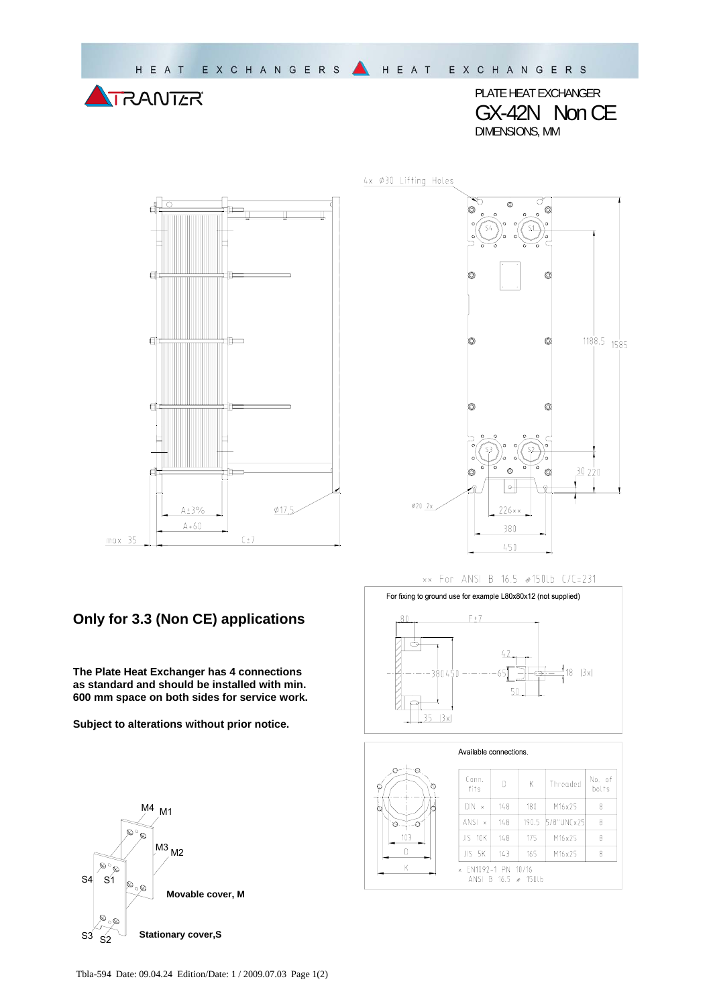PLATE HEAT EXCHANGER GX-42N Non CE DIMENSIONS, MM

 $A + 3\%$  $\phi$ 17,5  $A + 60$  $max$  35  $C \pm 7$ 

## **Only for 3.3 (Non CE) applications**

**The Plate Heat Exchanger has 4 connections as standard and should be installed with min. 600 mm space on both sides for service work.** 

**Subject to alterations without prior notice.**





## xx For ANSI B 16.5 #150Lb C/C=231